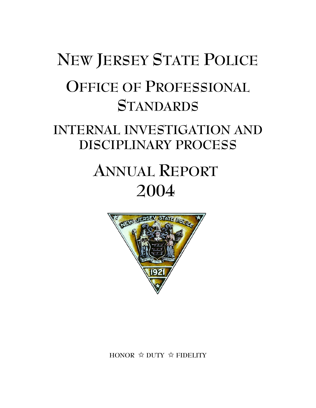# **NEW JERSEY STATE POLICE OFFICE OF PROFESSIONAL STANDARDS**

## **INTERNAL INVESTIGATION AND DISCIPLINARY PROCESS**

## **ANNUAL REPORT 2004**



**HONOR** j **DUTY** j **FIDELITY**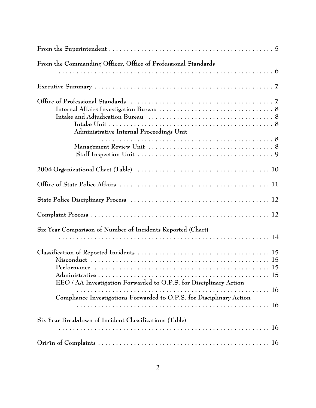| From the Commanding Officer, Office of Professional Standards         |
|-----------------------------------------------------------------------|
|                                                                       |
|                                                                       |
| Administrative Internal Proceedings Unit                              |
|                                                                       |
|                                                                       |
|                                                                       |
|                                                                       |
|                                                                       |
| Six Year Comparison of Number of Incidents Reported (Chart)           |
| EEO / AA Investigation Forwarded to O.P.S. for Disciplinary Action    |
| Compliance Investigations Forwarded to O.P.S. for Disciplinary Action |
| Six Year Breakdown of Incident Classifications (Table)<br><b>16</b>   |
|                                                                       |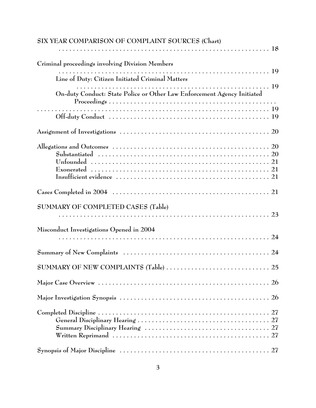| SIX YEAR COMPARISON OF COMPLAINT SOURCES (Chart)                        |
|-------------------------------------------------------------------------|
|                                                                         |
| Criminal proceedings involving Division Members                         |
| Line of Duty: Citizen Initiated Criminal Matters                        |
|                                                                         |
| On-duty Conduct: State Police or Other Law Enforcement Agency Initiated |
|                                                                         |
|                                                                         |
|                                                                         |
|                                                                         |
| SUMMARY OF COMPLETED CASES (Table)                                      |
| Misconduct Investigations Opened in 2004                                |
|                                                                         |
|                                                                         |
|                                                                         |
|                                                                         |
|                                                                         |
|                                                                         |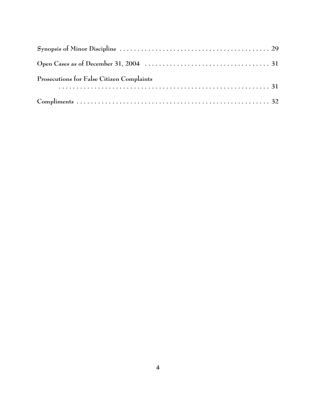| Prosecutions for False Citizen Complaints |  |
|-------------------------------------------|--|
|                                           |  |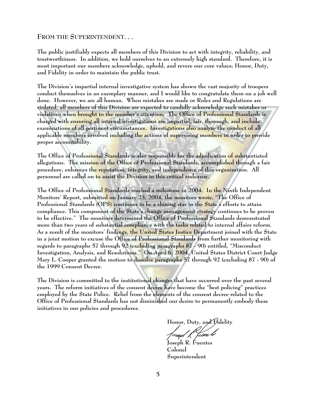#### **FROM THE SUPERINTENDENT. . .**

**The public justifiably expects all members of this Division to act with integrity, reliability, and trustworthiness. In addition, we hold ourselves to an extremely high standard. Therefore, it is most important our members acknowledge, uphold, and revere our core values; Honor, Duty, and Fidelity in order to maintain the public trust.** 

**The Division's impartial internal investigative system has shown the vast majority of troopers conduct themselves in an exemplary manner, and I would like to congratulate them on a job well done. However, we are all human. When mistakes are made or Rules and Regulations are violated, all members of this Division are expected to candidly acknowledge such mistakes or violations when brought to the member's attention. The Office of Professional Standards is charged with ensuring all internal investigations are impartial, fair, thorough, and include examinations of all pertinent circumstances. Investigations also analyze the conduct of all applicable members involved including the actions of supervising members in order to provide proper accountability.** 

**The Office of Professional Standards is also responsible for the adjudication of substantiated allegations. The mission of the Office of Professional Standards, accomplished through a fair procedure, enhances the reputation, integrity, and independence of this organization. All personnel are called on to assist the Division in this critical endeavor.**

**The Office of Professional Standards reached a milestone in 2004. In the Ninth Independent Monitors' Report, submitted on January 23, 2004, the monitors wrote, "The Office of Professional Standards (OPS) continues to be a shining star in the State's efforts to attain compliance. This component of the State's change management strategy continues to be proven to be effective." The monitors determined the Office of Professional Standards demonstrated more than two years of substantial compliance with the tasks related to internal affairs reform. As a result of the monitors' findings, the United States Justice Department joined with the State in a joint motion to excuse the Office of Professional Standards from further monitoring with regards to paragraphs 57 through 92 (excluding paragraphs 87 - 90) entitled, "Misconduct Investigation, Analysis, and Resolutions." On April 6, 2004, United States District Court Judge Mary L. Cooper granted the motion to dissolve paragraphs 57 through 92 (excluding 87 - 90) of the 1999 Consent Decree.**

**The Division is committed to the institutional changes that have occurred over the past several years. The reform initiatives of the consent decree have become the "best policing" practices employed by the State Police. Relief from the elements of the consent decree related to the Office of Professional Standards has not diminished our desire to permanently embody these initiatives in our policies and procedures.**

Honor, Duty, and Fidelity<br>*Joseph K filen* 

**Joseph R. Fuentes Colonel Superintendent**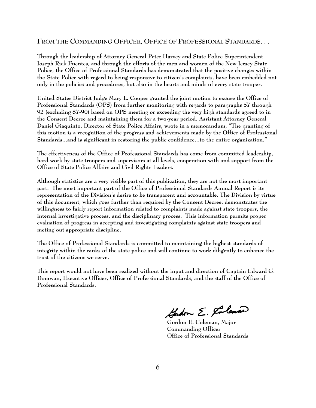#### **FROM THE COMMANDING OFFICER, OFFICE OF PROFESSIONAL STANDARDS. . .**

**Through the leadership of Attorney General Peter Harvey and State Police Superintendent Joseph Rick Fuentes, and through the efforts of the men and women of the New Jersey State Police, the Office of Professional Standards has demonstrated that the positive changes within the State Police with regard to being responsive to citizen's complaints, have been embedded not only in the policies and procedures, but also in the hearts and minds of every state trooper.** 

**United States District Judge Mary L. Cooper granted the joint motion to excuse the Office of Professional Standards (OPS) from further monitoring with regards to paragraphs 57 through 92 (excluding 87-90) based on OPS meeting or exceeding the very high standards agreed to in the Consent Decree and maintaining them for a two-year period. Assistant Attorney General Daniel Giaquinto, Director of State Police Affairs, wrote in a memorandum, "The granting of this motion is a recognition of the progress and achievements made by the Office of Professional Standards...and is significant in restoring the public confidence...to the entire organization."**

**The effectiveness of the Office of Professional Standards has come from committed leadership, hard work by state troopers and supervisors at all levels, cooperation with and support from the Office of State Police Affairs and Civil Rights Leaders.** 

**Although statistics are a very visible part of this publication, they are not the most important part. The most important part of the Office of Professional Standards Annual Report is its representation of the Division's desire to be transparent and accountable. The Division by virtue of this document, which goes further than required by the Consent Decree, demonstrates the willingness to fairly report information related to complaints made against state troopers, the internal investigative process, and the disciplinary process. This information permits proper evaluation of progress in accepting and investigating complaints against state troopers and meting out appropriate discipline.** 

**The Office of Professional Standards is committed to maintaining the highest standards of integrity within the ranks of the state police and will continue to work diligently to enhance the trust of the citizens we serve.**

**This report would not have been realized without the input and direction of Captain Edward G. Donovan, Executive Officer, Office of Professional Standards, and the staff of the Office of Professional Standards.**

Gradon E. Coleman

**Gordon E. Coleman, Major Commanding Officer Office of Professional Standards**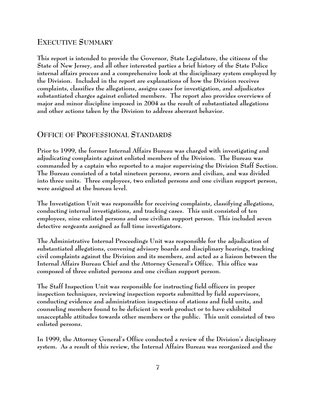## **EXECUTIVE SUMMARY**

**This report is intended to provide the Governor, State Legislature, the citizens of the State of New Jersey, and all other interested parties a brief history of the State Police internal affairs process and a comprehensive look at the disciplinary system employed by the Division. Included in the report are explanations of how the Division receives complaints, classifies the allegations, assigns cases for investigation, and adjudicates substantiated charges against enlisted members. The report also provides overviews of major and minor discipline imposed in 2004 as the result of substantiated allegations and other actions taken by the Division to address aberrant behavior.**

## **OFFICE OF PROFESSIONAL STANDARDS**

**Prior to 1999, the former Internal Affairs Bureau was charged with investigating and adjudicating complaints against enlisted members of the Division. The Bureau was commanded by a captain who reported to a major supervising the Division Staff Section. The Bureau consisted of a total nineteen persons, sworn and civilian, and was divided into three units. Three employees, two enlisted persons and one civilian support person, were assigned at the bureau level.**

**The Investigation Unit was responsible for receiving complaints, classifying allegations, conducting internal investigations, and tracking cases. This unit consisted of ten employees, nine enlisted persons and one civilian support person. This included seven detective sergeants assigned as full time investigators.**

**The Administrative Internal Proceedings Unit was responsible for the adjudication of substantiated allegations, convening advisory boards and disciplinary hearings, tracking civil complaints against the Division and its members, and acted as a liaison between the Internal Affairs Bureau Chief and the Attorney General's Office. This office was composed of three enlisted persons and one civilian support person.** 

**The Staff Inspection Unit was responsible for instructing field officers in proper inspection techniques, reviewing inspection reports submitted by field supervisors, conducting evidence and administration inspections of stations and field units, and counseling members found to be deficient in work product or to have exhibited unacceptable attitudes towards other members or the public. This unit consisted of two enlisted persons.**

**In 1999, the Attorney General's Office conducted a review of the Division's disciplinary system. As a result of this review, the Internal Affairs Bureau was reorganized and the**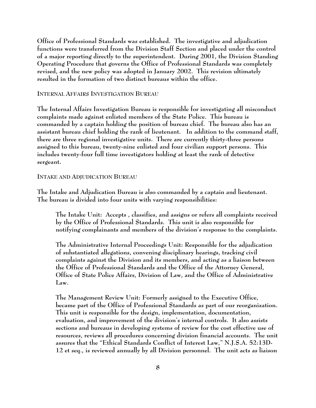**Office of Professional Standards was established. The investigative and adjudication functions were transferred from the Division Staff Section and placed under the control of a major reporting directly to the superintendent. During 2001, the Division Standing Operating Procedure that governs the Office of Professional Standards was completely revised, and the new policy was adopted in January 2002. This revision ultimately resulted in the formation of two distinct bureaus within the office.** 

**INTERNAL AFFAIRS INVESTIGATION BUREAU**

**The Internal Affairs Investigation Bureau is responsible for investigating all misconduct complaints made against enlisted members of the State Police. This bureau is commanded by a captain holding the position of bureau chief. The bureau also has an assistant bureau chief holding the rank of lieutenant. In addition to the command staff, there are three regional investigative units. There are currently thirty-three persons assigned to this bureau, twenty-nine enlisted and four civilian support persons. This includes twenty-four full time investigators holding at least the rank of detective sergeant.** 

**INTAKE AND ADJUDICATION BUREAU**

**The Intake and Adjudication Bureau is also commanded by a captain and lieutenant. The bureau is divided into four units with varying responsibilities:**

**The Intake Unit: Accepts , classifies, and assigns or refers all complaints received by the Office of Professional Standards. This unit is also responsible for notifying complainants and members of the division's response to the complaints.** 

**The Administrative Internal Proceedings Unit: Responsible for the adjudication of substantiated allegations, convening disciplinary hearings, tracking civil complaints against the Division and its members, and acting as a liaison between the Office of Professional Standards and the Office of the Attorney General, Office of State Police Affairs, Division of Law, and the Office of Administrative Law.**

**The Management Review Unit: Formerly assigned to the Executive Office, became part of the Office of Professional Standards as part of our reorganization. This unit is responsible for the design, implementation, documentation, evaluation, and improvement of the division's internal controls. It also assists sections and bureaus in developing systems of review for the cost effective use of resources, reviews all procedures concerning division financial accounts. The unit assures that the "Ethical Standards Conflict of Interest Law," N.J.S.A. 52:13D-12 et seq., is reviewed annually by all Division personnel. The unit acts as liaison**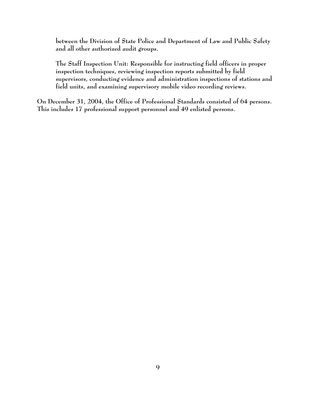**between the Division of State Police and Department of Law and Public Safety and all other authorized audit groups.**

**The Staff Inspection Unit: Responsible for instructing field officers in proper inspection techniques, reviewing inspection reports submitted by field supervisors, conducting evidence and administration inspections of stations and field units, and examining supervisory mobile video recording reviews.** 

**On December 31, 2004, the Office of Professional Standards consisted of 64 persons. This includes 17 professional support personnel and 49 enlisted persons.**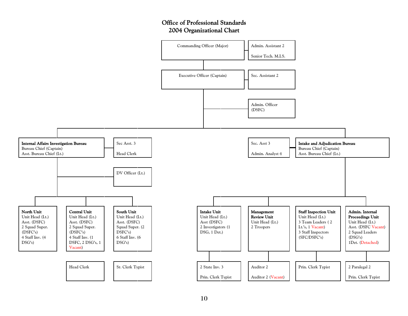#### Office of Professional Standards2004 Organizational Chart

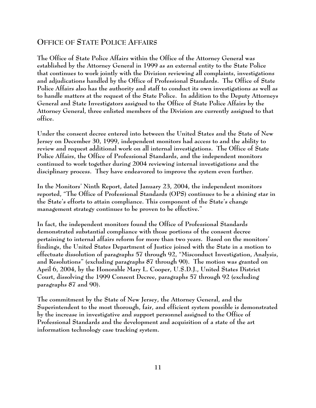## **OFFICE OF STATE POLICE AFFAIRS**

**The Office of State Police Affairs within the Office of the Attorney General was established by the Attorney General in 1999 as an external entity to the State Police that continues to work jointly with the Division reviewing all complaints, investigations and adjudications handled by the Office of Professional Standards. The Office of State Police Affairs also has the authority and staff to conduct its own investigations as well as to handle matters at the request of the State Police. In addition to the Deputy Attorneys General and State Investigators assigned to the Office of State Police Affairs by the Attorney General, three enlisted members of the Division are currently assigned to that office.**

**Under the consent decree entered into between the United States and the State of New Jersey on December 30, 1999, independent monitors had access to and the ability to review and request additional work on all internal investigations. The Office of State Police Affairs, the Office of Professional Standards, and the independent monitors continued to work together during 2004 reviewing internal investigations and the disciplinary process. They have endeavored to improve the system even further.**

**In the Monitors' Ninth Report, dated January 23, 2004, the independent monitors reported, "The Office of Professional Standards (OPS) continues to be a shining star in the State's efforts to attain compliance. This component of the State's change management strategy continues to be proven to be effective."** 

**In fact, the independent monitors found the Office of Professional Standards demonstrated substantial compliance with those portions of the consent decree pertaining to internal affairs reform for more than two years. Based on the monitors' findings, the United States Department of Justice joined with the State in a motion to effectuate dissolution of paragraphs 57 through 92, "Misconduct Investigation, Analysis, and Resolutions" (excluding paragraphs 87 through 90). The motion was granted on April 6, 2004, by the Honorable Mary L. Cooper, U.S.D.J., United States District Court, dissolving the 1999 Consent Decree, paragraphs 57 through 92 (excluding paragraphs 87 and 90).**

**The commitment by the State of New Jersey, the Attorney General, and the Superintendent to the most thorough, fair, and efficient system possible is demonstrated by the increase in investigative and support personnel assigned to the Office of Professional Standards and the development and acquisition of a state of the art information technology case tracking system.**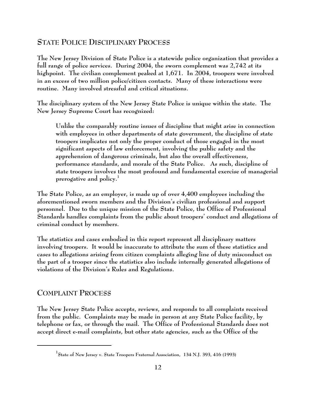## **STATE POLICE DISCIPLINARY PROCESS**

**The New Jersey Division of State Police is a statewide police organization that provides a full range of police services. During 2004, the sworn complement was 2,742 at its highpoint. The civilian complement peaked at 1,671. In 2004, troopers were involved in an excess of two million police/citizen contacts. Many of these interactions were routine. Many involved stressful and critical situations.**

**The disciplinary system of the New Jersey State Police is unique within the state. The New Jersey Supreme Court has recognized:**

**Unlike the comparably routine issues of discipline that might arise in connection with employees in other departments of state government, the discipline of state troopers implicates not only the proper conduct of those engaged in the most significant aspects of law enforcement, involving the public safety and the apprehension of dangerous criminals, but also the overall effectiveness, performance standards, and morale of the State Police. As such, discipline of state troopers involves the most profound and fundamental exercise of managerial prerogative and policy.1**

**The State Police, as an employer, is made up of over 4,400 employees including the aforementioned sworn members and the Division's civilian professional and support personnel. Due to the unique mission of the State Police, the Office of Professional Standards handles complaints from the public about troopers' conduct and allegations of criminal conduct by members.** 

**The statistics and cases embodied in this report represent all disciplinary matters involving troopers. It would be inaccurate to attribute the sum of these statistics and cases to allegations arising from citizen complaints alleging line of duty misconduct on the part of a trooper since the statistics also include internally generated allegations of violations of the Division's Rules and Regulations.**

### **COMPLAINT PROCESS**

**The New Jersey State Police accepts, reviews, and responds to all complaints received from the public. Complaints may be made in person at any State Police facility, by telephone or fax, or through the mail. The Office of Professional Standards does not accept direct e-mail complaints, but other state agencies, such as the Office of the**

**<sup>1</sup> State of New Jersey v. State Troopers Fraternal Association, 134 N.J. 393, 416 (1993)**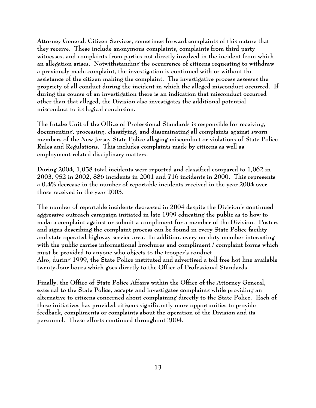**Attorney General, Citizen Services, sometimes forward complaints of this nature that they receive. These include anonymous complaints, complaints from third party witnesses, and complaints from parties not directly involved in the incident from which an allegation arises. Notwithstanding the occurrence of citizens requesting to withdraw a previously made complaint, the investigation is continued with or without the assistance of the citizen making the complaint. The investigative process assesses the propriety of all conduct during the incident in which the alleged misconduct occurred. If during the course of an investigation there is an indication that misconduct occurred other than that alleged, the Division also investigates the additional potential misconduct to its logical conclusion.**

**The Intake Unit of the Office of Professional Standards is responsible for receiving, documenting, processing, classifying, and disseminating all complaints against sworn members of the New Jersey State Police alleging misconduct or violations of State Police Rules and Regulations. This includes complaints made by citizens as well as employment-related disciplinary matters.**

**During 2004, 1,058 total incidents were reported and classified compared to 1,062 in 2003, 952 in 2002, 886 incidents in 2001 and 716 incidents in 2000. This represents a 0.4% decrease in the number of reportable incidents received in the year 2004 over those received in the year 2003.**

**The number of reportable incidents decreased in 2004 despite the Division's continued aggressive outreach campaign initiated in late 1999 educating the public as to how to make a complaint against or submit a compliment for a member of the Division. Posters and signs describing the complaint process can be found in every State Police facility and state operated highway service area. In addition, every on-duty member interacting with the public carries informational brochures and compliment / complaint forms which must be provided to anyone who objects to the trooper's conduct. Also, during 1999, the State Police instituted and advertised a toll free hot line available twenty-four hours which goes directly to the Office of Professional Standards.** 

**Finally, the Office of State Police Affairs within the Office of the Attorney General, external to the State Police, accepts and investigates complaints while providing an alternative to citizens concerned about complaining directly to the State Police. Each of these initiatives has provided citizens significantly more opportunities to provide feedback, compliments or complaints about the operation of the Division and its personnel. These efforts continued throughout 2004.**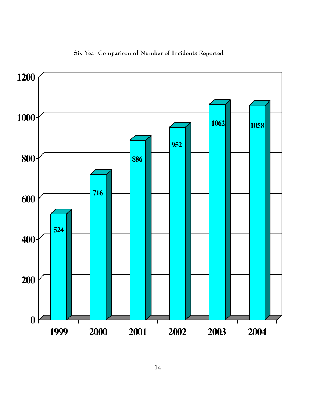

## **Six Year Comparison of Number of Incidents Reported**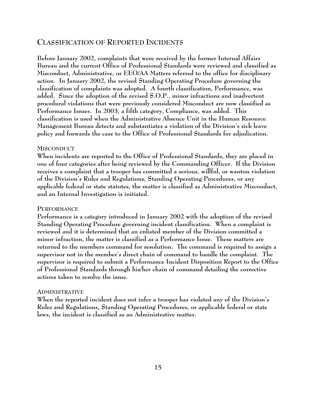#### **CLASSIFICATION OF REPORTED INCIDENTS**

**Before January 2002, complaints that were received by the former Internal Affairs Bureau and the current Office of Professional Standards were reviewed and classified as Misconduct, Administrative, or EEO/AA Matters referred to the office for disciplinary action. In January 2002, the revised Standing Operating Procedure governing the classification of complaints was adopted. A fourth classification, Performance, was added. Since the adoption of the revised S.O.P., minor infractions and inadvertent procedural violations that were previously considered Misconduct are now classified as Performance Issues. In 2003, a fifth category, Compliance, was added. This classification is used when the Administrative Absence Unit in the Human Resource Management Bureau detects and substantiates a violation of the Division's sick leave policy and forwards the case to the Office of Professional Standards for adjudication.** 

#### **MISCONDUCT**

**When incidents are reported to the Office of Professional Standards, they are placed in one of four categories after being reviewed by the Commanding Officer. If the Division receives a complaint that a trooper has committed a serious, willful, or wanton violation of the Division's Rules and Regulations, Standing Operating Procedures, or any applicable federal or state statutes, the matter is classified as Administrative Misconduct, and an Internal Investigation is initiated.**

#### **PERFORMANCE**

**Performance is a category introduced in January 2002 with the adoption of the revised Standing Operating Procedure governing incident classification. When a complaint is reviewed and it is determined that an enlisted member of the Division committed a minor infraction, the matter is classified as a Performance Issue. These matters are returned to the members command for resolution. The command is required to assign a supervisor not in the member's direct chain of command to handle the complaint. The supervisor is required to submit a Performance Incident Disposition Report to the Office of Professional Standards through his/her chain of command detailing the corrective actions taken to resolve the issue.**

#### **ADMINISTRATIVE**

**When the reported incident does not infer a trooper has violated any of the Division's Rules and Regulations, Standing Operating Procedures, or applicable federal or state laws, the incident is classified as an Administrative matter.**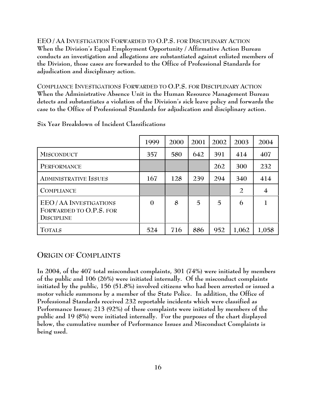**EEO / AA INVESTIGATION FORWARDED TO O.P.S. FOR DISCIPLINARY ACTION When the Division's Equal Employment Opportunity / Affirmative Action Bureau conducts an investigation and allegations are substantiated against enlisted members of the Division, those cases are forwarded to the Office of Professional Standards for adjudication and disciplinary action.**

**COMPLIANCE INVESTIGATIONS FORWARDED TO O.P.S. FOR DISCIPLINARY ACTION When the Administrative Absence Unit in the Human Resource Management Bureau detects and substantiates a violation of the Division's sick leave policy and forwards the case to the Office of Professional Standards for adjudication and disciplinary action.**

|                                                                              | 1999         | 2000 | 2001 | 2002 | 2003           | 2004           |
|------------------------------------------------------------------------------|--------------|------|------|------|----------------|----------------|
| <b>MISCONDUCT</b>                                                            | 357          | 580  | 642  | 391  | 414            | 407            |
| PERFORMANCE                                                                  |              |      |      | 262  | 300            | 232            |
| <b>ADMINISTRATIVE ISSUES</b>                                                 | 167          | 128  | 239  | 294  | 340            | 414            |
| <b>COMPLIANCE</b>                                                            |              |      |      |      | $\overline{2}$ | $\overline{4}$ |
| <b>EEO/AA INVESTIGATIONS</b><br>FORWARDED TO O.P.S. FOR<br><b>DISCIPLINE</b> | $\mathbf{0}$ | 8    | 5    | 5    | 6              |                |
| <b>TOTALS</b>                                                                | 524          | 716  | 886  | 952  | 1,062          | 1,058          |

**Six Year Breakdown of Incident Classifications**

### **ORIGIN OF COMPLAINTS**

**In 2004, of the 407 total misconduct complaints, 301 (74%) were initiated by members of the public and 106 (26%) were initiated internally. Of the misconduct complaints initiated by the public, 156 (51.8%) involved citizens who had been arrested or issued a motor vehicle summons by a member of the State Police. In addition, the Office of Professional Standards received 232 reportable incidents which were classified as Performance Issues; 213 (92%) of these complaints were initiated by members of the public and 19 (8%) were initiated internally. For the purposes of the chart displayed below, the cumulative number of Performance Issues and Misconduct Complaints is being used.**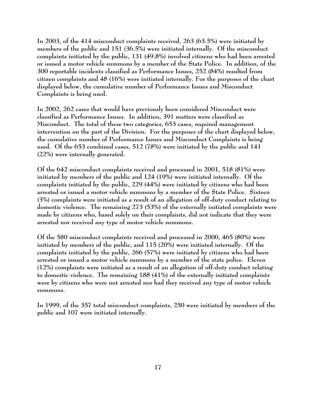**In 2003, of the 414 misconduct complaints received, 263 (63.5%) were initiated by members of the public and 151 (36.5%) were initiated internally. Of the misconduct complaints initiated by the public, 131 (49.8%) involved citizens who had been arrested or issued a motor vehicle summons by a member of the State Police. In addition, of the 300 reportable incidents classified as Performance Issues, 252 (84%) resulted from citizen complaints and 48 (16%) were initiated internally. For the purposes of the chart displayed below, the cumulative number of Performance Issues and Misconduct Complaints is being used.** 

**In 2002, 262 cases that would have previously been considered Misconduct were classified as Performance Issues. In addition, 391 matters were classified as Misconduct. The total of these two categories, 653 cases, required management intervention on the part of the Division. For the purposes of the chart displayed below, the cumulative number of Performance Issues and Misconduct Complaints is being used. Of the 653 combined cases, 512 (78%) were initiated by the public and 141 (22%) were internally generated.** 

**Of the 642 misconduct complaints received and processed in 2001, 518 (81%) were initiated by members of the public and 124 (19%) were initiated internally. Of the complaints initiated by the public, 229 (44%) were initiated by citizens who had been arrested or issued a motor vehicle summons by a member of the State Police. Sixteen (3%) complaints were initiated as a result of an allegation of off-duty conduct relating to domestic violence. The remaining 273 (53%) of the externally initiated complaints were made by citizens who, based solely on their complaints, did not indicate that they were arrested nor received any type of motor vehicle summons.**

**Of the 580 misconduct complaints received and processed in 2000, 465 (80%) were initiated by members of the public, and 115 (20%) were initiated internally. Of the complaints initiated by the public, 266 (57%) were initiated by citizens who had been arrested or issued a motor vehicle summons by a member of the state police. Eleven (12%) complaints were initiated as a result of an allegation of off-duty conduct relating to domestic violence. The remaining 188 (41%) of the externally initiated complaints were by citizens who were not arrested nor had they received any type of motor vehicle summons.**

**In 1999, of the 357 total misconduct complaints, 250 were initiated by members of the public and 107 were initiated internally.**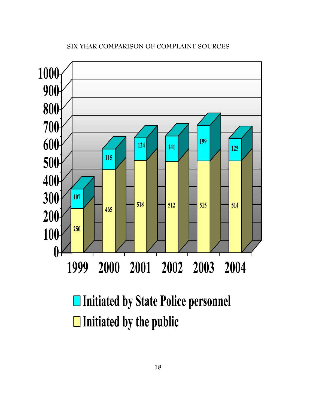## 

## **SIX YEAR COMPARISON OF COMPLAINT SOURCES**

□ Initiated by State Police personnel  $\Box$  Initiated by the public

2000 2001 2002 2003 2004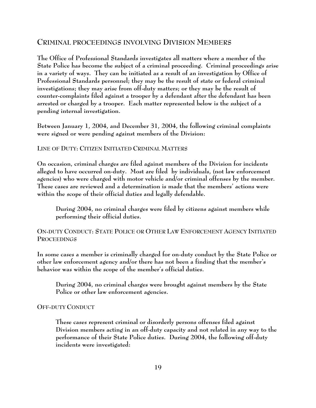#### **CRIMINAL PROCEEDINGS INVOLVING DIVISION MEMBERS**

**The Office of Professional Standards investigates all matters where a member of the State Police has become the subject of a criminal proceeding. Criminal proceedings arise in a variety of ways. They can be initiated as a result of an investigation by Office of Professional Standards personnel; they may be the result of state or federal criminal investigations; they may arise from off-duty matters; or they may be the result of counter-complaints filed against a trooper by a defendant after the defendant has been arrested or charged by a trooper. Each matter represented below is the subject of a pending internal investigation.**

**Between January 1, 2004, and December 31, 2004, the following criminal complaints were signed or were pending against members of the Division:**

#### **LINE OF DUTY: CITIZEN INITIATED CRIMINAL MATTERS**

**On occasion, criminal charges are filed against members of the Division for incidents alleged to have occurred on-duty. Most are filed by individuals, (not law enforcement agencies) who were charged with motor vehicle and/or criminal offenses by the member. These cases are reviewed and a determination is made that the members' actions were within the scope of their official duties and legally defendable.** 

**During 2004, no criminal charges were filed by citizens against members while performing their official duties.**

#### **ON-DUTY CONDUCT: STATE POLICE OR OTHER LAW ENFORCEMENT AGENCY INITIATED PROCEEDINGS**

**In some cases a member is criminally charged for on-duty conduct by the State Police or other law enforcement agency and/or there has not been a finding that the member's behavior was within the scope of the member's official duties.**

**During 2004, no criminal charges were brought against members by the State Police or other law enforcement agencies.**

#### **OFF-DUTY CONDUCT**

**These cases represent criminal or disorderly persons offenses filed against Division members acting in an off-duty capacity and not related in any way to the performance of their State Police duties. During 2004, the following off-duty incidents were investigated:**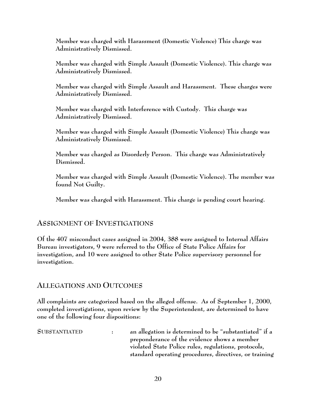**Member was charged with Harassment (Domestic Violence) This charge was Administratively Dismissed.**

**Member was charged with Simple Assault (Domestic Violence). This charge was Administratively Dismissed.**

**Member was charged with Simple Assault and Harassment. These charges were Administratively Dismissed.**

**Member was charged with Interference with Custody. This charge was Administratively Dismissed.**

**Member was charged with Simple Assault (Domestic Violence) This charge was Administratively Dismissed.**

**Member was charged as Disorderly Person. This charge was Administratively Dismissed.**

**Member was charged with Simple Assault (Domestic Violence). The member was found Not Guilty.**

**Member was charged with Harassment. This charge is pending court hearing.**

## **ASSIGNMENT OF INVESTIGATIONS**

**Of the 407 misconduct cases assigned in 2004, 388 were assigned to Internal Affairs Bureau investigators, 9 were referred to the Office of State Police Affairs for investigation, and 10 were assigned to other State Police supervisory personnel for investigation.**

## **ALLEGATIONS AND OUTCOMES**

**All complaints are categorized based on the alleged offense. As of September 1, 2000, completed investigations, upon review by the Superintendent, are determined to have one of the following four dispositions:**

**SUBSTANTIATED : an allegation is determined to be "substantiated" if a preponderance of the evidence shows a member violated State Police rules, regulations, protocols, standard operating procedures, directives, or training**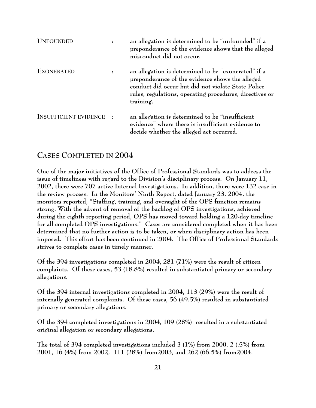| <b>UNFOUNDED</b>             |           | an allegation is determined to be "unfounded" if a<br>preponderance of the evidence shows that the alleged<br>misconduct did not occur.                                                                                              |
|------------------------------|-----------|--------------------------------------------------------------------------------------------------------------------------------------------------------------------------------------------------------------------------------------|
| <b>EXONERATED</b>            |           | an allegation is determined to be "exonerated" if a<br>preponderance of the evidence shows the alleged<br>conduct did occur but did not violate State Police<br>rules, regulations, operating procedures, directives or<br>training. |
| <b>INSUFFICIENT EVIDENCE</b> | $\cdot$ : | an allegation is determined to be "insufficient<br>evidence" where there is insufficient evidence to<br>decide whether the alleged act occurred.                                                                                     |

## **CASES COMPLETED IN 2004**

**One of the major initiatives of the Office of Professional Standards was to address the issue of timeliness with regard to the Division's disciplinary process. On January 11, 2002, there were 707 active Internal Investigations. In addition, there were 132 case in the review process. In the Monitors' Ninth Report, dated January 23, 2004, the monitors reported, "Staffing, training, and oversight of the OPS function remains strong. With the advent of removal of the backlog of OPS investigations, achieved during the eighth reporting period, OPS has moved toward holding a 120-day timeline for all completed OPS investigations." Cases are considered completed when it has been determined that no further action is to be taken, or when disciplinary action has been imposed. This effort has been continued in 2004. The Office of Professional Standards strives to complete cases in timely manner.** 

**Of the 394 investigations completed in 2004, 281 (71%) were the result of citizen complaints. Of these cases, 53 (18.8%) resulted in substantiated primary or secondary allegations.**

**Of the 394 internal investigations completed in 2004, 113 (29%) were the result of internally generated complaints. Of these cases, 56 (49.5%) resulted in substantiated primary or secondary allegations.**

**Of the 394 completed investigations in 2004, 109 (28%) resulted in a substantiated original allegation or secondary allegations.**

**The total of 394 completed investigations included 3 (1%) from 2000, 2 (.5%) from 2001, 16 (4%) from 2002, 111 (28%) from2003, and 262 (66.5%) from2004.**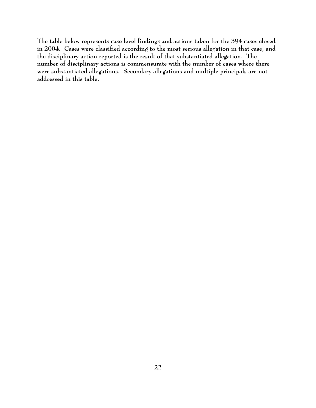**The table below represents case level findings and actions taken for the 394 cases closed in 2004. Cases were classified according to the most serious allegation in that case, and the disciplinary action reported is the result of that substantiated allegation. The number of disciplinary actions is commensurate with the number of cases where there were substantiated allegations. Secondary allegations and multiple principals are not addressed in this table.**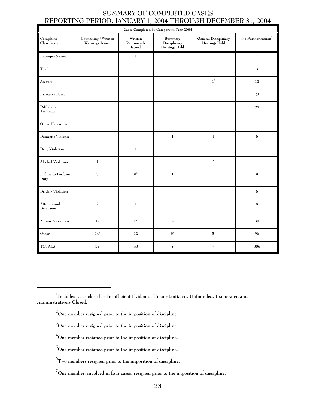#### **SUMMARY OF COMPLETED CASES REPORTING PERIOD: JANUARY 1, 2004 THROUGH DECEMBER 31, 2004**

| Cases Completed by Category in Year 2004 |                                                                       |                                 |                                          |                                       |                                |  |  |
|------------------------------------------|-----------------------------------------------------------------------|---------------------------------|------------------------------------------|---------------------------------------|--------------------------------|--|--|
| Complaint<br>Classification              | $\operatorname{Counseling}/\operatorname{Written}$<br>Warnings Issued | Written<br>Reprimands<br>Issued | Summary<br>Disciplinary<br>Hearings Held | General Disciplinary<br>Hearings Held | No Further Action <sup>1</sup> |  |  |
| Improper Search                          |                                                                       | $\,1$                           |                                          |                                       | $\overline{\bf 7}$             |  |  |
| ${\rm The\it ft}$                        |                                                                       |                                 |                                          |                                       | $\mathbf 3$                    |  |  |
| Assault                                  |                                                                       |                                 |                                          | $\mathbf{1}^2$                        | 12                             |  |  |
| <b>Excessive Force</b>                   |                                                                       |                                 |                                          |                                       | 28                             |  |  |
| Differential<br>Treatment                |                                                                       |                                 |                                          |                                       | 95                             |  |  |
| Other Harassment                         |                                                                       |                                 |                                          |                                       | $\overline{\bf 7}$             |  |  |
| Domestic Violence                        |                                                                       |                                 | $\,1\,$                                  | $\,1$                                 | 6                              |  |  |
| Drug Violation                           |                                                                       | $\,1\,$                         |                                          |                                       | $\mathbf 1$                    |  |  |
| Alcohol Violation                        | $\mathbf 1$                                                           |                                 |                                          | $\sqrt{2}$                            |                                |  |  |
| Failure to Perform<br>Duty               | 3                                                                     | $8^3\,$                         | $\,1\,$                                  |                                       | $\mathbf{Q}$                   |  |  |
| Driving Violation                        |                                                                       |                                 |                                          |                                       | 6                              |  |  |
| Attitude and<br>Demeanor                 | $\overline{a}$                                                        | $\,1$                           |                                          |                                       | 6                              |  |  |
| Admin. Violations                        | 12                                                                    | 17 <sup>4</sup>                 | $\overline{a}$                           |                                       | 30                             |  |  |
| Other                                    | $14^{\rm 5}$                                                          | 12                              | $3^6\,$                                  | ${\bf 5}^7$                           | 96                             |  |  |
| <b>TOTALS</b>                            | 32                                                                    | 40                              | $\overline{I}$                           | $\mathbf{Q}$                          | 306                            |  |  |

- **2 One member resigned prior to the imposition of discipline.**
- **3 One member resigned prior to the imposition of discipline.**
- **4 One member resigned prior to the imposition of discipline.**

**<sup>1</sup> Includes cases closed as Insufficient Evidence, Unsubstantiated, Unfounded, Exonerated and Administratively Closed.**

**<sup>5</sup> One member resigned prior to the imposition of discipline.**

**<sup>6</sup> Two members resigned prior to the imposition of discipline.**

**<sup>7</sup> One member, involved in four cases, resigned prior to the imposition of discipline.**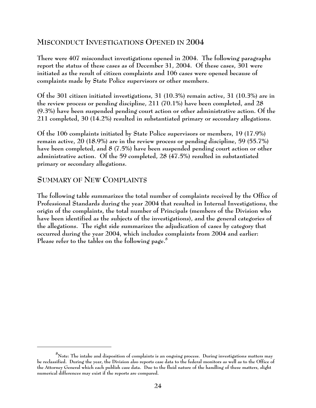## **MISCONDUCT INVESTIGATIONS OPENED IN 2004**

**There were 407 misconduct investigations opened in 2004. The following paragraphs report the status of these cases as of December 31, 2004. Of these cases, 301 were initiated as the result of citizen complaints and 106 cases were opened because of complaints made by State Police supervisors or other members.** 

**Of the 301 citizen initiated investigations, 31 (10.3%) remain active, 31 (10.3%) are in the review process or pending discipline, 211 (70.1%) have been completed, and 28 (9.3%) have been suspended pending court action or other administrative action. Of the 211 completed, 30 (14.2%) resulted in substantiated primary or secondary allegations.**

**Of the 106 complaints initiated by State Police supervisors or members, 19 (17.9%) remain active, 20 (18.9%) are in the review process or pending discipline, 59 (55.7%) have been completed, and 8 (7.5%) have been suspended pending court action or other administrative action. Of the 59 completed, 28 (47.5%) resulted in substantiated primary or secondary allegations.**

## **SUMMARY OF NEW COMPLAINTS**

**The following table summarizes the total number of complaints received by the Office of Professional Standards during the year 2004 that resulted in Internal Investigations, the origin of the complaints, the total number of Principals (members of the Division who have been identified as the subjects of the investigations), and the general categories of the allegations. The right side summarizes the adjudication of cases by category that occurred during the year 2004, which includes complaints from 2004 and earlier: Please refer to the tables on the following page.<sup>8</sup>**

**<sup>8</sup> Note: The intake and disposition of complaints is an ongoing process. During investigations matters may be reclassified. During the year, the Division also reports case data to the federal monitors as well as to the Office of the Attorney General which each publish case data. Due to the fluid nature of the handling of these matters, slight numerical differences may exist if the reports are compared.**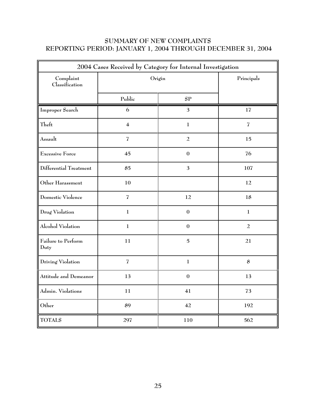## **SUMMARY OF NEW COMPLAINTS REPORTING PERIOD: JANUARY 1, 2004 THROUGH DECEMBER 31, 2004**

| 2004 Cases Received by Category for Internal Investigation |                         |                  |                |  |  |
|------------------------------------------------------------|-------------------------|------------------|----------------|--|--|
| Complaint<br>Classification                                | Origin                  | Principals       |                |  |  |
|                                                            | Public                  | SP               |                |  |  |
| Improper Search                                            | 6                       | 3                | 17             |  |  |
| Theft                                                      | $\overline{\mathbf{4}}$ | $\mathbf{1}$     | $\overline{I}$ |  |  |
| Assault                                                    | $\overline{I}$          | $\overline{a}$   | 15             |  |  |
| <b>Excessive Force</b>                                     | 45                      | $\boldsymbol{0}$ | 76             |  |  |
| Differential Treatment                                     | 85                      | 3                | 107            |  |  |
| Other Harassment                                           | 10                      |                  | 12             |  |  |
| Domestic Violence                                          | $\overline{I}$          | 12               | 18             |  |  |
| Drug Violation                                             | $\mathbf{1}$            | $\boldsymbol{0}$ | $\mathbf{1}$   |  |  |
| Alcohol Violation                                          | $\mathbf{1}$            | $\boldsymbol{0}$ | $\overline{a}$ |  |  |
| Failure to Perform<br>Duty                                 | 11                      | $\overline{5}$   | 21             |  |  |
| Driving Violation                                          | $\overline{I}$          | $\mathbf{1}$     | $\bf 8$        |  |  |
| Attitude and Demeanor                                      | 13                      | $\boldsymbol{0}$ | 13             |  |  |
| Admin. Violations                                          | 11                      | 41               | 73             |  |  |
| Other                                                      | 89                      | 42               | 192            |  |  |
| <b>TOTALS</b>                                              | 297                     | 110              | 562            |  |  |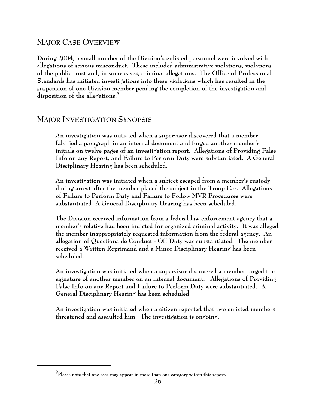## **MAJOR CASE OVERVIEW**

**During 2004, a small number of the Division's enlisted personnel were involved with allegations of serious misconduct. These included administrative violations, violations of the public trust and, in some cases, criminal allegations. The Office of Professional Standards has initiated investigations into these violations which has resulted in the suspension of one Division member pending the completion of the investigation and disposition of the allegations.9**

## **MAJOR INVESTIGATION SYNOPSIS**

**An investigation was initiated when a supervisor discovered that a member falsified a paragraph in an internal document and forged another member's initials on twelve pages of an investigation report. Allegations of Providing False Info on any Report, and Failure to Perform Duty were substantiated. A General Disciplinary Hearing has been scheduled.**

**An investigation was initiated when a subject escaped from a member's custody during arrest after the member placed the subject in the Troop Car. Allegations of Failure to Perform Duty and Failure to Follow MVR Procedures were substantiated A General Disciplinary Hearing has been scheduled.**

**The Division received information from a federal law enforcement agency that a member's relative had been indicted for organized criminal activity. It was alleged the member inappropriately requested information from the federal agency. An allegation of Questionable Conduct - Off Duty was substantiated. The member received a Written Reprimand and a Minor Disciplinary Hearing has been scheduled.**

**An investigation was initiated when a supervisor discovered a member forged the signature of another member on an internal document. Allegations of Providing False Info on any Report and Failure to Perform Duty were substantiated. A General Disciplinary Hearing has been scheduled.**

**An investigation was initiated when a citizen reported that two enlisted members threatened and assaulted him. The investigation is ongoing.** 

**<sup>9</sup> Please note that one case may appear in more than one category within this report.**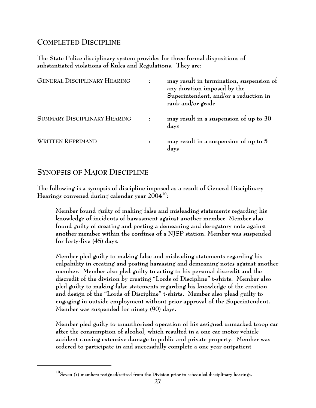## **COMPLETED DISCIPLINE**

**The State Police disciplinary system provides for three formal dispositions of substantiated violations of Rules and Regulations. They are:**

| <b>GENERAL DISCIPLINARY HEARING</b> | may result in termination, suspension of<br>any duration imposed by the<br>Superintendent, and/or a reduction in<br>rank and/or grade |
|-------------------------------------|---------------------------------------------------------------------------------------------------------------------------------------|
| <b>SUMMARY DISCIPLINARY HEARING</b> | may result in a suspension of up to 30<br>days                                                                                        |
| <b>WRITTEN REPRIMAND</b>            | may result in a suspension of up to 5<br>days                                                                                         |

## **SYNOPSIS OF MAJOR DISCIPLINE**

**The following is a synopsis of discipline imposed as a result of General Disciplinary Hearings convened during calendar year 200410:**

**Member found guilty of making false and misleading statements regarding his knowledge of incidents of harassment against another member. Member also found guilty of creating and posting a demeaning and derogatory note against another member within the confines of a NJSP station. Member was suspended for forty-five (45) days.**

**Member pled guilty to making false and misleading statements regarding his culpability in creating and posting harassing and demeaning notes against another member. Member also pled guilty to acting to his personal discredit and the discredit of the division by creating "Lords of Discipline" t-shirts. Member also pled guilty to making false statements regarding his knowledge of the creation and design of the "Lords of Discipline" t-shirts. Member also plead guilty to engaging in outside employment without prior approval of the Superintendent. Member was suspended for ninety (90) days.**

**Member pled guilty to unauthorized operation of his assigned unmarked troop car after the consumption of alcohol, which resulted in a one car motor vehicle accident causing extensive damage to public and private property. Member was ordered to participate in and successfully complete a one year outpatient**

**<sup>10</sup>Seven (7) members resigned/retired from the Division prior to scheduled disciplinary hearings.**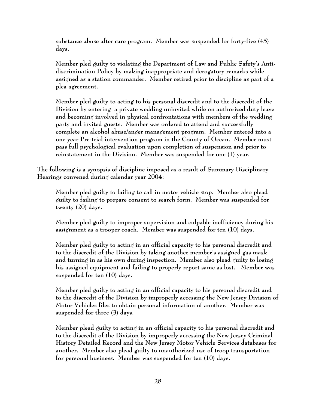**substance abuse after care program. Member was suspended for forty-five (45) days.** 

**Member pled guilty to violating the Department of Law and Public Safety's Antidiscrimination Policy by making inappropriate and derogatory remarks while assigned as a station commander. Member retired prior to discipline as part of a plea agreement.**

**Member pled guilty to acting to his personal discredit and to the discredit of the Division by entering a private wedding uninvited while on authorized duty leave and becoming involved in physical confrontations with members of the wedding party and invited guests. Member was ordered to attend and successfully complete an alcohol abuse/anger management program. Member entered into a one year Pre-trial intervention program in the County of Ocean. Member must pass full psychological evaluation upon completion of suspension and prior to reinstatement in the Division. Member was suspended for one (1) year.**

**The following is a synopsis of discipline imposed as a result of Summary Disciplinary Hearings convened during calendar year 2004:**

**Member pled guilty to failing to call in motor vehicle stop. Member also plead guilty to failing to prepare consent to search form. Member was suspended for twenty (20) days.**

**Member pled guilty to improper supervision and culpable inefficiency during his assignment as a trooper coach. Member was suspended for ten (10) days.**

**Member pled guilty to acting in an official capacity to his personal discredit and to the discredit of the Division by taking another member's assigned gas mask and turning in as his own during inspection. Member also plead guilty to losing his assigned equipment and failing to properly report same as lost. Member was suspended for ten (10) days.**

**Member pled guilty to acting in an official capacity to his personal discredit and to the discredit of the Division by improperly accessing the New Jersey Division of Motor Vehicles files to obtain personal information of another. Member was suspended for three (3) days.** 

**Member plead guilty to acting in an official capacity to his personal discredit and to the discredit of the Division by improperly accessing the New Jersey Criminal History Detailed Record and the New Jersey Motor Vehicle Services databases for another. Member also plead guilty to unauthorized use of troop transportation for personal business. Member was suspended for ten (10) days.**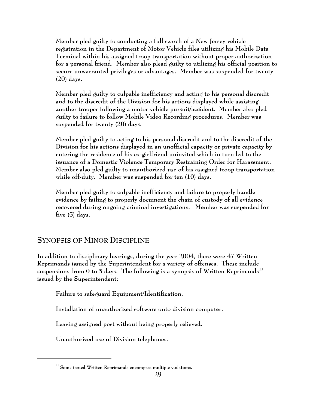**Member pled guilty to conducting a full search of a New Jersey vehicle registration in the Department of Motor Vehicle files utilizing his Mobile Data Terminal within his assigned troop transportation without proper authorization for a personal friend. Member also plead guilty to utilizing his official position to secure unwarranted privileges or advantages. Member was suspended for twenty (20) days.**

**Member pled guilty to culpable inefficiency and acting to his personal discredit and to the discredit of the Division for his actions displayed while assisting another trooper following a motor vehicle pursuit/accident. Member also pled guilty to failure to follow Mobile Video Recording procedures. Member was suspended for twenty (20) days.**

**Member pled guilty to acting to his personal discredit and to the discredit of the Division for his actions displayed in an unofficial capacity or private capacity by entering the residence of his ex-girlfriend uninvited which in turn led to the issuance of a Domestic Violence Temporary Restraining Order for Harassment. Member also pled guilty to unauthorized use of his assigned troop transportation while off-duty. Member was suspended for ten (10) days.**

**Member pled guilty to culpable inefficiency and failure to properly handle evidence by failing to properly document the chain of custody of all evidence recovered during ongoing criminal investigations. Member was suspended for five (5) days.**

## **SYNOPSIS OF MINOR DISCIPLINE**

**In addition to disciplinary hearings, during the year 2004, there were 47 Written Reprimands issued by the Superintendent for a variety of offenses. These include suspensions from 0 to 5 days. The following is a synopsis of Written Reprimands<sup>11</sup> issued by the Superintendent:**

**Failure to safeguard Equipment/Identification.** 

**Installation of unauthorized software onto division computer.** 

**Leaving assigned post without being properly relieved.**

**Unauthorized use of Division telephones.**

**<sup>11</sup>Some issued Written Reprimands encompass multiple violations.**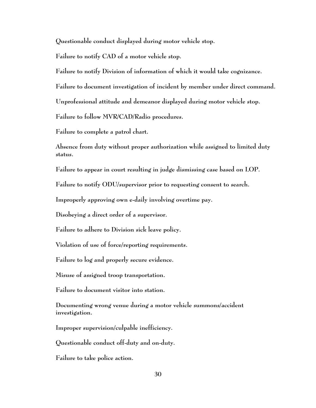**Questionable conduct displayed during motor vehicle stop.**

**Failure to notify CAD of a motor vehicle stop.**

**Failure to notify Division of information of which it would take cognizance.**

**Failure to document investigation of incident by member under direct command.**

**Unprofessional attitude and demeanor displayed during motor vehicle stop.**

**Failure to follow MVR/CAD/Radio procedures.**

**Failure to complete a patrol chart.**

**Absence from duty without proper authorization while assigned to limited duty status.**

**Failure to appear in court resulting in judge dismissing case based on LOP.**

**Failure to notify ODU/supervisor prior to requesting consent to search.**

**Improperly approving own e-daily involving overtime pay.**

**Disobeying a direct order of a supervisor.**

**Failure to adhere to Division sick leave policy.**

**Violation of use of force/reporting requirements.** 

**Failure to log and properly secure evidence.**

**Misuse of assigned troop transportation.**

**Failure to document visitor into station.**

**Documenting wrong venue during a motor vehicle summons/accident investigation.**

**Improper supervision/culpable inefficiency.**

**Questionable conduct off-duty and on-duty.** 

**Failure to take police action.**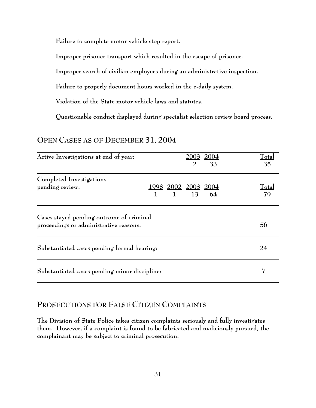**Failure to complete motor vehicle stop report.**

**Improper prisoner transport which resulted in the escape of prisoner.**

**Improper search of civilian employees during an administrative inspection.**

**Failure to properly document hours worked in the e-daily system.**

**Violation of the State motor vehicle laws and statutes.**

**Questionable conduct displayed during specialist selection review board process.**

| Active Investigations at end of year:                                              | 2003 2004<br>33<br>2                                                              | Total<br>35        |  |
|------------------------------------------------------------------------------------|-----------------------------------------------------------------------------------|--------------------|--|
| Completed Investigations<br>pending review:                                        | $\frac{1998}{1} \quad \frac{2002}{1} \quad \frac{2003}{13} \quad \frac{2004}{64}$ | <u>Total</u><br>79 |  |
| Cases stayed pending outcome of criminal<br>proceedings or administrative reasons: |                                                                                   | 56                 |  |
| Substantiated cases pending formal hearing:                                        |                                                                                   |                    |  |
| Substantiated cases pending minor discipline:                                      |                                                                                   | 7                  |  |

#### **OPEN CASES AS OF DECEMBER 31, 2004**

## **PROSECUTIONS FOR FALSE CITIZEN COMPLAINTS**

**The Division of State Police takes citizen complaints seriously and fully investigates them. However, if a complaint is found to be fabricated and maliciously pursued, the complainant may be subject to criminal prosecution.**